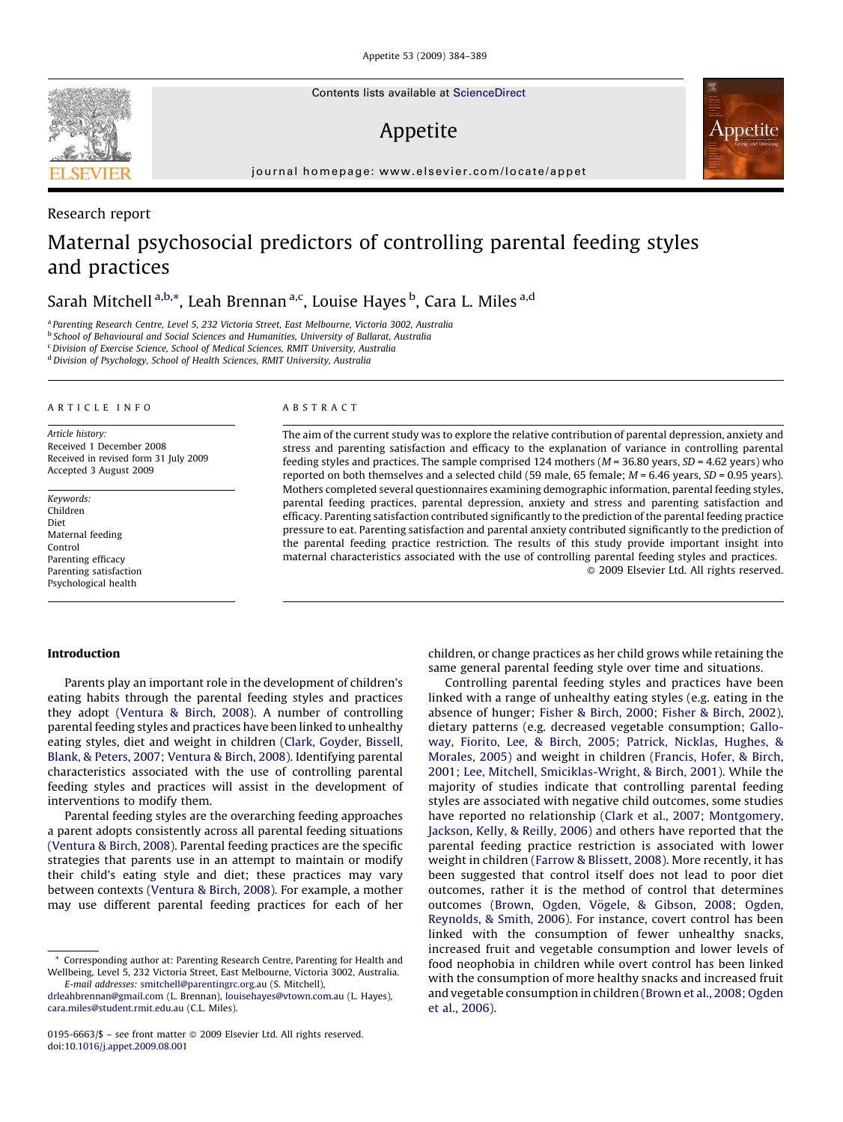Contents lists available at [ScienceDirect](http://www.sciencedirect.com/science/journal/01956663)

# Appetite

journal homepage: www.elsevier.com/locate/appet

# Maternal psychosocial predictors of controlling parental feeding styles and practices

# Sarah Mitchell <sup>a,b,</sup>\*, Leah Brennan <sup>a,c</sup>, Louise Hayes <sup>b</sup>, Cara L. Miles <sup>a,d</sup>

<sup>a</sup> Parenting Research Centre, Level 5, 232 Victoria Street, East Melbourne, Victoria 3002, Australia

**b School of Behavioural and Social Sciences and Humanities, University of Ballarat, Australia** 

<sup>c</sup>Division of Exercise Science, School of Medical Sciences, RMIT University, Australia

 $^{\rm d}$  Division of Psychology, School of Health Sciences, RMIT University, Australia

### ARTICLE INFO

Article history: Received 1 December 2008 Received in revised form 31 July 2009 Accepted 3 August 2009

Keywords: Children Diet Maternal feeding Control Parenting efficacy Parenting satisfaction Psychological health

#### ABSTRACT

The aim of the current study was to explore the relative contribution of parental depression, anxiety and stress and parenting satisfaction and efficacy to the explanation of variance in controlling parental feeding styles and practices. The sample comprised 124 mothers ( $M = 36.80$  years,  $SD = 4.62$  years) who reported on both themselves and a selected child (59 male, 65 female;  $M = 6.46$  years,  $SD = 0.95$  years). Mothers completed several questionnaires examining demographic information, parental feeding styles, parental feeding practices, parental depression, anxiety and stress and parenting satisfaction and efficacy. Parenting satisfaction contributed significantly to the prediction of the parental feeding practice pressure to eat. Parenting satisfaction and parental anxiety contributed significantly to the prediction of the parental feeding practice restriction. The results of this study provide important insight into maternal characteristics associated with the use of controlling parental feeding styles and practices. - 2009 Elsevier Ltd. All rights reserved.

#### Introduction

Parents play an important role in the development of children's eating habits through the parental feeding styles and practices they adopt [\(Ventura & Birch, 2008](#page--1-0)). A number of controlling parental feeding styles and practices have been linked to unhealthy eating styles, diet and weight in children [\(Clark, Goyder, Bissell,](#page--1-0) [Blank, & Peters, 2007; Ventura & Birch, 2008](#page--1-0)). Identifying parental characteristics associated with the use of controlling parental feeding styles and practices will assist in the development of interventions to modify them.

Parental feeding styles are the overarching feeding approaches a parent adopts consistently across all parental feeding situations ([Ventura & Birch, 2008](#page--1-0)). Parental feeding practices are the specific strategies that parents use in an attempt to maintain or modify their child's eating style and diet; these practices may vary between contexts ([Ventura & Birch, 2008](#page--1-0)). For example, a mother may use different parental feeding practices for each of her

## children, or change practices as her child grows while retaining the same general parental feeding style over time and situations.

Appetite

Controlling parental feeding styles and practices have been linked with a range of unhealthy eating styles (e.g. eating in the absence of hunger; [Fisher & Birch, 2000; Fisher & Birch, 2002\)](#page--1-0), dietary patterns (e.g. decreased vegetable consumption; [Gallo](#page--1-0)[way, Fiorito, Lee, & Birch, 2005; Patrick, Nicklas, Hughes, &](#page--1-0) [Morales, 2005\)](#page--1-0) and weight in children ([Francis, Hofer, & Birch,](#page--1-0) [2001; Lee, Mitchell, Smiciklas-Wright, & Birch, 2001\)](#page--1-0). While the majority of studies indicate that controlling parental feeding styles are associated with negative child outcomes, some studies have reported no relationship [\(Clark et al., 2007; Montgomery,](#page--1-0) [Jackson, Kelly, & Reilly, 2006](#page--1-0)) and others have reported that the parental feeding practice restriction is associated with lower weight in children ([Farrow & Blissett, 2008\)](#page--1-0). More recently, it has been suggested that control itself does not lead to poor diet outcomes, rather it is the method of control that determines outcomes (Brown, Ogden, Vögele, & Gibson, 2008; Ogden, [Reynolds, & Smith, 2006](#page--1-0)). For instance, covert control has been linked with the consumption of fewer unhealthy snacks, increased fruit and vegetable consumption and lower levels of food neophobia in children while overt control has been linked with the consumption of more healthy snacks and increased fruit and vegetable consumption in children [\(Brown et al., 2008; Ogden](#page--1-0) [et al., 2006\)](#page--1-0).



Research report

<sup>\*</sup> Corresponding author at: Parenting Research Centre, Parenting for Health and Wellbeing, Level 5, 232 Victoria Street, East Melbourne, Victoria 3002, Australia. E-mail addresses: [smitchell@parentingrc.org.au](mailto:smitchell@parentingrc.org.au) (S. Mitchell),

[drleahbrennan@gmail.com](mailto:drleahbrennan@gmail.com) (L. Brennan), [louisehayes@vtown.com.au](mailto:louisehayes@vtown.com.au) (L. Hayes), [cara.miles@student.rmit.edu.au](mailto:cara.miles@student.rmit.edu.au) (C.L. Miles).

<sup>0195-6663/\$ –</sup> see front matter © 2009 Elsevier Ltd. All rights reserved. doi:[10.1016/j.appet.2009.08.001](http://dx.doi.org/10.1016/j.appet.2009.08.001)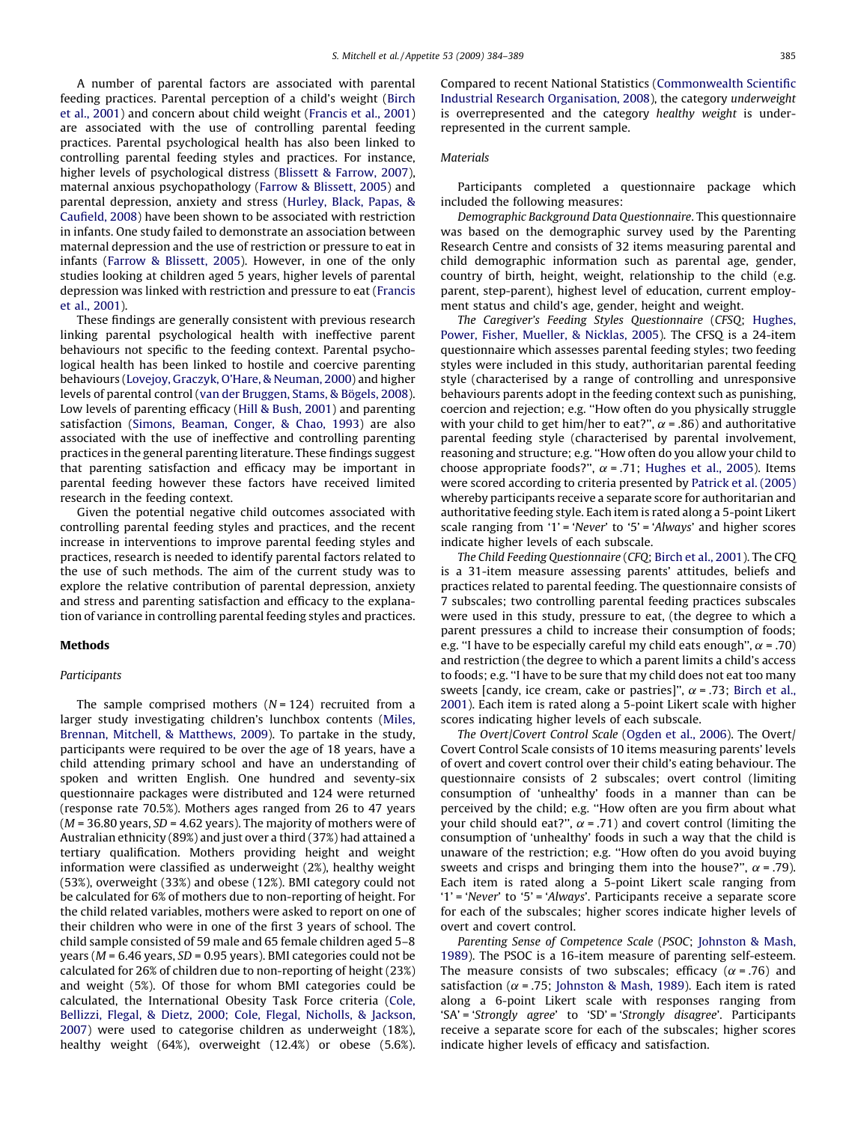A number of parental factors are associated with parental feeding practices. Parental perception of a child's weight ([Birch](#page--1-0) [et al., 2001\)](#page--1-0) and concern about child weight [\(Francis et al., 2001\)](#page--1-0) are associated with the use of controlling parental feeding practices. Parental psychological health has also been linked to controlling parental feeding styles and practices. For instance, higher levels of psychological distress [\(Blissett & Farrow, 2007\)](#page--1-0), maternal anxious psychopathology [\(Farrow & Blissett, 2005\)](#page--1-0) and parental depression, anxiety and stress [\(Hurley, Black, Papas, &](#page--1-0) [Caufield, 2008](#page--1-0)) have been shown to be associated with restriction in infants. One study failed to demonstrate an association between maternal depression and the use of restriction or pressure to eat in infants [\(Farrow & Blissett, 2005\)](#page--1-0). However, in one of the only studies looking at children aged 5 years, higher levels of parental depression was linked with restriction and pressure to eat ([Francis](#page--1-0) [et al., 2001](#page--1-0)).

These findings are generally consistent with previous research linking parental psychological health with ineffective parent behaviours not specific to the feeding context. Parental psychological health has been linked to hostile and coercive parenting behaviours [\(Lovejoy, Graczyk, O'Hare, & Neuman, 2000](#page--1-0)) and higher levels of parental control (van der Bruggen, Stams, & Bögels, 2008). Low levels of parenting efficacy [\(Hill & Bush, 2001\)](#page--1-0) and parenting satisfaction ([Simons, Beaman, Conger, & Chao, 1993](#page--1-0)) are also associated with the use of ineffective and controlling parenting practices in the general parenting literature. These findings suggest that parenting satisfaction and efficacy may be important in parental feeding however these factors have received limited research in the feeding context.

Given the potential negative child outcomes associated with controlling parental feeding styles and practices, and the recent increase in interventions to improve parental feeding styles and practices, research is needed to identify parental factors related to the use of such methods. The aim of the current study was to explore the relative contribution of parental depression, anxiety and stress and parenting satisfaction and efficacy to the explanation of variance in controlling parental feeding styles and practices.

#### Methods

### Participants

The sample comprised mothers  $(N = 124)$  recruited from a larger study investigating children's lunchbox contents ([Miles,](#page--1-0) [Brennan, Mitchell, & Matthews, 2009](#page--1-0)). To partake in the study, participants were required to be over the age of 18 years, have a child attending primary school and have an understanding of spoken and written English. One hundred and seventy-six questionnaire packages were distributed and 124 were returned (response rate 70.5%). Mothers ages ranged from 26 to 47 years  $(M = 36.80$  years,  $SD = 4.62$  years). The majority of mothers were of Australian ethnicity (89%) and just over a third (37%) had attained a tertiary qualification. Mothers providing height and weight information were classified as underweight (2%), healthy weight (53%), overweight (33%) and obese (12%). BMI category could not be calculated for 6% of mothers due to non-reporting of height. For the child related variables, mothers were asked to report on one of their children who were in one of the first 3 years of school. The child sample consisted of 59 male and 65 female children aged 5–8 years ( $M = 6.46$  years,  $SD = 0.95$  years). BMI categories could not be calculated for 26% of children due to non-reporting of height (23%) and weight (5%). Of those for whom BMI categories could be calculated, the International Obesity Task Force criteria [\(Cole,](#page--1-0) [Bellizzi, Flegal, & Dietz, 2000; Cole, Flegal, Nicholls, & Jackson,](#page--1-0) [2007\)](#page--1-0) were used to categorise children as underweight (18%), healthy weight (64%), overweight (12.4%) or obese (5.6%). Compared to recent National Statistics [\(Commonwealth Scientific](#page--1-0) [Industrial Research Organisation, 2008](#page--1-0)), the category underweight is overrepresented and the category healthy weight is underrepresented in the current sample.

### **Materials**

Participants completed a questionnaire package which included the following measures:

Demographic Background Data Questionnaire. This questionnaire was based on the demographic survey used by the Parenting Research Centre and consists of 32 items measuring parental and child demographic information such as parental age, gender, country of birth, height, weight, relationship to the child (e.g. parent, step-parent), highest level of education, current employment status and child's age, gender, height and weight.

The Caregiver's Feeding Styles Questionnaire (CFSQ; [Hughes,](#page--1-0) [Power, Fisher, Mueller, & Nicklas, 2005\)](#page--1-0). The CFSQ is a 24-item questionnaire which assesses parental feeding styles; two feeding styles were included in this study, authoritarian parental feeding style (characterised by a range of controlling and unresponsive behaviours parents adopt in the feeding context such as punishing, coercion and rejection; e.g. ''How often do you physically struggle with your child to get him/her to eat?",  $\alpha$  = .86) and authoritative parental feeding style (characterised by parental involvement, reasoning and structure; e.g. ''How often do you allow your child to choose appropriate foods?",  $\alpha$  = .71; [Hughes et al., 2005\)](#page--1-0). Items were scored according to criteria presented by [Patrick et al. \(2005\)](#page--1-0) whereby participants receive a separate score for authoritarian and authoritative feeding style. Each item is rated along a 5-point Likert scale ranging from '1' = 'Never' to '5' = 'Always' and higher scores indicate higher levels of each subscale.

The Child Feeding Questionnaire (CFQ; [Birch et al., 2001\)](#page--1-0). The CFQ is a 31-item measure assessing parents' attitudes, beliefs and practices related to parental feeding. The questionnaire consists of 7 subscales; two controlling parental feeding practices subscales were used in this study, pressure to eat, (the degree to which a parent pressures a child to increase their consumption of foods; e.g. "I have to be especially careful my child eats enough",  $\alpha$  = .70) and restriction (the degree to which a parent limits a child's access to foods; e.g. ''I have to be sure that my child does not eat too many sweets [candy, ice cream, cake or pastries]",  $\alpha$  = .73; [Birch et al.,](#page--1-0) [2001\)](#page--1-0). Each item is rated along a 5-point Likert scale with higher scores indicating higher levels of each subscale.

The Overt/Covert Control Scale ([Ogden et al., 2006\)](#page--1-0). The Overt/ Covert Control Scale consists of 10 items measuring parents' levels of overt and covert control over their child's eating behaviour. The questionnaire consists of 2 subscales; overt control (limiting consumption of 'unhealthy' foods in a manner than can be perceived by the child; e.g. ''How often are you firm about what your child should eat?",  $\alpha$  = .71) and covert control (limiting the consumption of 'unhealthy' foods in such a way that the child is unaware of the restriction; e.g. ''How often do you avoid buying sweets and crisps and bringing them into the house?",  $\alpha$  = .79). Each item is rated along a 5-point Likert scale ranging from '1' = 'Never' to '5' = 'Always'. Participants receive a separate score for each of the subscales; higher scores indicate higher levels of overt and covert control.

Parenting Sense of Competence Scale (PSOC; [Johnston & Mash,](#page--1-0) [1989\)](#page--1-0). The PSOC is a 16-item measure of parenting self-esteem. The measure consists of two subscales; efficacy ( $\alpha$  = .76) and satisfaction ( $\alpha$  = .75; [Johnston & Mash, 1989\)](#page--1-0). Each item is rated along a 6-point Likert scale with responses ranging from 'SA' = 'Strongly agree' to 'SD' = 'Strongly disagree'. Participants receive a separate score for each of the subscales; higher scores indicate higher levels of efficacy and satisfaction.